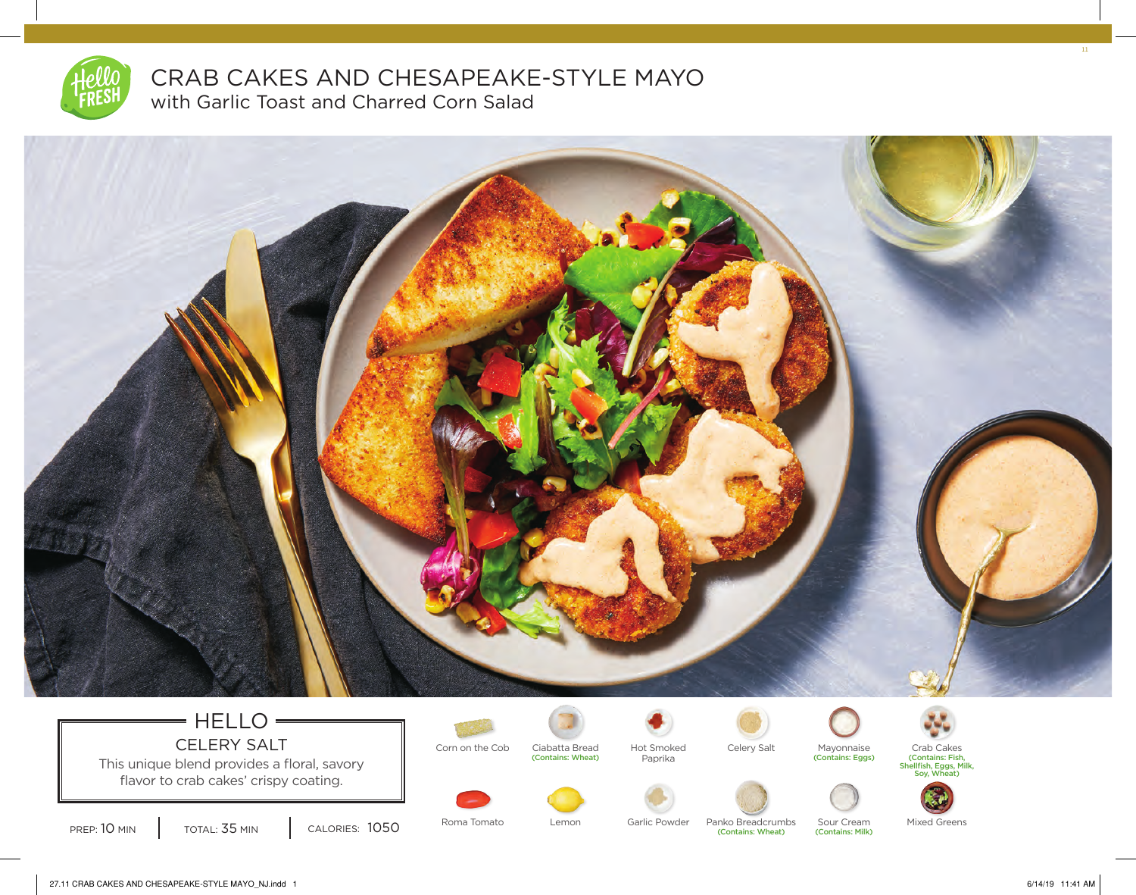

## CRAB CAKES AND CHESAPEAKE-STYLE MAYO with Garlic Toast and Charred Corn Salad



## $=$  HELLO $=$ CELERY SALT Corn on the Cob Clabatta Bread Hot Smoked

This unique blend provides a floral, savory flavor to crab cakes' crispy coating.



Ciabatta Bread Celery Salt Mayonnaise Crab Cakes





(Contains: Fish, Shellfish, Eggs, Milk, Soy, Wheat)



PREP: 10 MIN | TOTAL: 35 MIN | CALORIES: 1050

Roma Tomato Lemon Garlic Powder Panko Breadcrumbs Sour Cream Mixed Greens (Contains: Wheat)

(Contains: Milk)

27.11 CRAB CAKES AND CHESAPEAKE-STYLE MAYO\_NJ.indd 1 6/14/19 11:41 AM

11